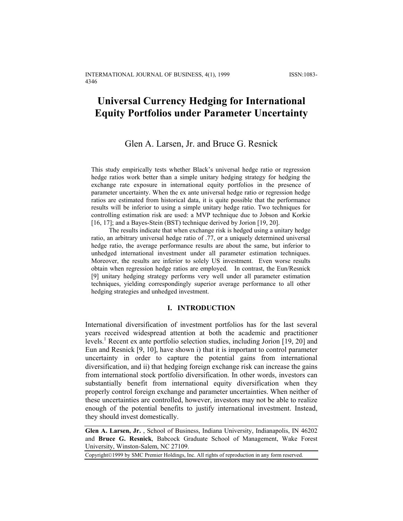## **Universal Currency Hedging for International Equity Portfolios under Parameter Uncertainty**

### Glen A. Larsen, Jr. and Bruce G. Resnick

This study empirically tests whether Black's universal hedge ratio or regression hedge ratios work better than a simple unitary hedging strategy for hedging the exchange rate exposure in international equity portfolios in the presence of parameter uncertainty. When the ex ante universal hedge ratio or regression hedge ratios are estimated from historical data, it is quite possible that the performance results will be inferior to using a simple unitary hedge ratio. Two techniques for controlling estimation risk are used: a MVP technique due to Jobson and Korkie [16, 17]; and a Bayes-Stein (BST) technique derived by Jorion [19, 20].

The results indicate that when exchange risk is hedged using a unitary hedge ratio, an arbitrary universal hedge ratio of .77, or a uniquely determined universal hedge ratio, the average performance results are about the same, but inferior to unhedged international investment under all parameter estimation techniques. Moreover, the results are inferior to solely US investment. Even worse results obtain when regression hedge ratios are employed. In contrast, the Eun/Resnick [9] unitary hedging strategy performs very well under all parameter estimation techniques, yielding correspondingly superior average performance to all other hedging strategies and unhedged investment.

#### **I. INTRODUCTION**

International diversification of investment portfolios has for the last several years received widespread attention at both the academic and practitioner levels.<sup>1</sup> Recent ex ante portfolio selection studies, including Jorion [19, 20] and Eun and Resnick [9, 10], have shown i) that it is important to control parameter uncertainty in order to capture the potential gains from international diversification, and ii) that hedging foreign exchange risk can increase the gains from international stock portfolio diversification. In other words, investors can substantially benefit from international equity diversification when they properly control foreign exchange and parameter uncertainties. When neither of these uncertainties are controlled, however, investors may not be able to realize enough of the potential benefits to justify international investment. Instead, they should invest domestically.

**Glen A. Larsen, Jr.** , School of Business, Indiana University, Indianapolis, IN 46202 and **Bruce G. Resnick**, Babcock Graduate School of Management, Wake Forest University, Winston-Salem, NC 27109.

Copyright©1999 by SMC Premier Holdings, Inc. All rights of reproduction in any form reserved.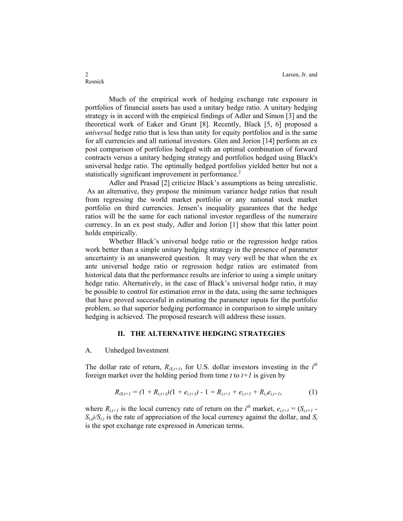2 Larsen, Jr. and 2 Larsen, Jr. and 2 Larsen, Jr. and 2 Larsen, Jr. and 2 Larsen, Jr. and 2 Larsen,  $\frac{1}{2}$ 

Much of the empirical work of hedging exchange rate exposure in portfolios of financial assets has used a unitary hedge ratio. A unitary hedging strategy is in accord with the empirical findings of Adler and Simon [3] and the theoretical work of Eaker and Grant [8]. Recently, Black [5, 6] proposed a *universal* hedge ratio that is less than unity for equity portfolios and is the same for all currencies and all national investors. Glen and Jorion [14] perform an ex post comparison of portfolios hedged with an optimal combination of forward contracts versus a unitary hedging strategy and portfolios hedged using Black's universal hedge ratio. The optimally hedged portfolios yielded better but not a statistically significant improvement in performance.<sup>2</sup>

Adler and Prasad [2] criticize Black's assumptions as being unrealistic. As an alternative, they propose the minimum variance hedge ratios that result from regressing the world market portfolio or any national stock market portfolio on third currencies. Jensen's inequality guarantees that the hedge ratios will be the same for each national investor regardless of the numeraire currency. In an ex post study, Adler and Jorion [1] show that this latter point holds empirically.

Whether Black's universal hedge ratio or the regression hedge ratios work better than a simple unitary hedging strategy in the presence of parameter uncertainty is an unanswered question. It may very well be that when the ex ante universal hedge ratio or regression hedge ratios are estimated from historical data that the performance results are inferior to using a simple unitary hedge ratio. Alternatively, in the case of Black's universal hedge ratio, it may be possible to control for estimation error in the data, using the same techniques that have proved successful in estimating the parameter inputs for the portfolio problem, so that superior hedging performance in comparison to simple unitary hedging is achieved. The proposed research will address these issues.

#### **II. THE ALTERNATIVE HEDGING STRATEGIES**

#### A. Unhedged Investment

The dollar rate of return,  $R_{i\delta,t+1}$ , for U.S. dollar investors investing in the  $i^{th}$ foreign market over the holding period from time  $t$  to  $t+1$  is given by

$$
R_{i\ell,t+1} = (1 + R_{i,t+1})(1 + e_{i,t+1}) - 1 = R_{i,t+1} + e_{i,t+1} + R_{i,t}e_{i,t+1},
$$
\n(1)

where  $R_{i,t+1}$  is the local currency rate of return on the  $i^{th}$  market,  $e_{i,t+1} = (S_{i,t+1} - S_{i,t+1})$  $S_{i,j}/S_{i,t}$  is the rate of appreciation of the local currency against the dollar, and  $S_i$ is the spot exchange rate expressed in American terms.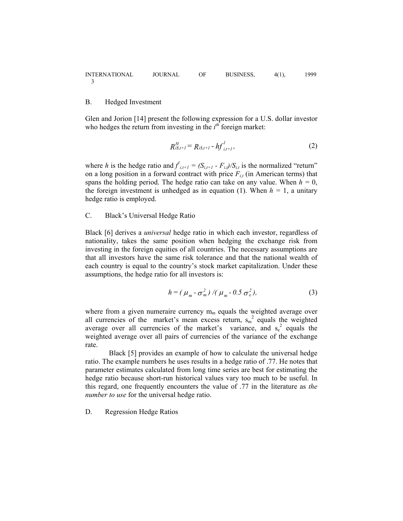#### B. Hedged Investment

Glen and Jorion [14] present the following expression for a U.S. dollar investor who hedges the return from investing in the  $i^{th}$  foreign market:

$$
R_{i\mathcal{S},t+l}^H = R_{i\mathcal{S},t+l} - hf_{i,t+l}^l,
$$
 (2)

where *h* is the hedge ratio and  $f'_{i,t+1} = (S_{i,t+1} - F_{i,t})/S_{i,t}$  is the normalized "return" on a long position in a forward contract with price  $F_{it}$  (in American terms) that spans the holding period. The hedge ratio can take on any value. When  $h = 0$ , the foreign investment is unhedged as in equation (1). When  $h = 1$ , a unitary hedge ratio is employed.

### C. Black's Universal Hedge Ratio

Black [6] derives a *universal* hedge ratio in which each investor, regardless of nationality, takes the same position when hedging the exchange risk from investing in the foreign equities of all countries. The necessary assumptions are that all investors have the same risk tolerance and that the national wealth of each country is equal to the country's stock market capitalization. Under these assumptions, the hedge ratio for all investors is:

$$
h = (\mu_m - \sigma_m^2) / (\mu_m - 0.5 \sigma_e^2),
$$
 (3)

where from a given numeraire currency  $m_m$  equals the weighted average over all currencies of the market's mean excess return,  $s_m^2$  equals the weighted average over all currencies of the market's variance, and  $s_e^2$  equals the weighted average over all pairs of currencies of the variance of the exchange rate.

Black [5] provides an example of how to calculate the universal hedge ratio. The example numbers he uses results in a hedge ratio of .77. He notes that parameter estimates calculated from long time series are best for estimating the hedge ratio because short-run historical values vary too much to be useful. In this regard, one frequently encounters the value of .77 in the literature as *the number to use* for the universal hedge ratio.

D. Regression Hedge Ratios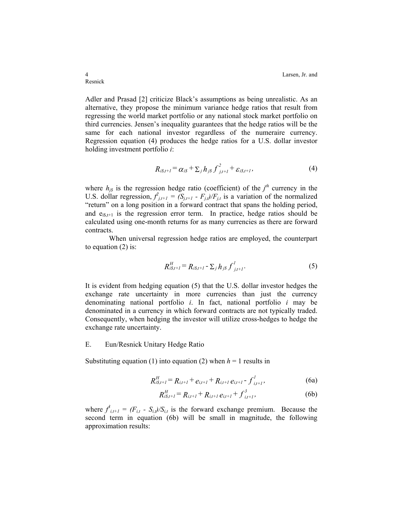Adler and Prasad [2] criticize Black's assumptions as being unrealistic. As an alternative, they propose the minimum variance hedge ratios that result from regressing the world market portfolio or any national stock market portfolio on third currencies. Jensen's inequality guarantees that the hedge ratios will be the same for each national investor regardless of the numeraire currency. Regression equation (4) produces the hedge ratios for a U.S. dollar investor holding investment portfolio *i*:

$$
R_{i\mathcal{S},t+1} = \alpha_{i\mathcal{S}} + \sum_j h_{j\mathcal{S}} f^2_{j,t+1} + \varepsilon_{i\mathcal{S},t+1},\tag{4}
$$

where  $h_{j\delta}$  is the regression hedge ratio (coefficient) of the  $j^{th}$  currency in the U.S. dollar regression,  $f_{j,t+1} = (S_{j,t+1} - F_{j,t})/F_{j,t}$  is a variation of the normalized "return" on a long position in a forward contract that spans the holding period, and  $e_{iS,t+1}$  is the regression error term. In practice, hedge ratios should be calculated using one-month returns for as many currencies as there are forward contracts.

When universal regression hedge ratios are employed, the counterpart to equation (2) is:

$$
R_{i\delta,t+l}^H = R_{i\delta,t+l} - \sum_j h_{j\delta} \int_{j,t+l}^l.
$$
 (5)

It is evident from hedging equation (5) that the U.S. dollar investor hedges the exchange rate uncertainty in more currencies than just the currency denominating national portfolio *i*. In fact, national portfolio *i* may be denominated in a currency in which forward contracts are not typically traded. Consequently, when hedging the investor will utilize cross-hedges to hedge the exchange rate uncertainty.

#### E. Eun/Resnick Unitary Hedge Ratio

Substituting equation (1) into equation (2) when  $h = 1$  results in

*H*

$$
R_{i\beta,t+1}^H = R_{i,t+1} + e_{i,t+1} + R_{i,t+1} e_{i,t+1} - f_{i,t+1}^I,
$$
\n(6a)

$$
R_{i\ell+1}^H = R_{i,t+1} + R_{i,t+1} e_{i,t+1} + f_{i,t+1}^3,
$$
 (6b)

where  $f_{i,t+1}^2 = (F_{i,t} - S_{i,t})/S_{i,t}$  is the forward exchange premium. Because the second term in equation (6b) will be small in magnitude, the following approximation results: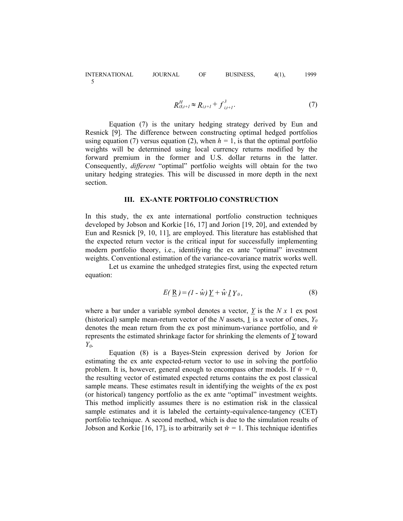$$
R_{i\beta,t+1}^H \approx R_{i,t+1} + f_{i,t+1}^3.
$$
 (7)

Equation (7) is the unitary hedging strategy derived by Eun and Resnick [9]. The difference between constructing optimal hedged portfolios using equation (7) versus equation (2), when  $h = 1$ , is that the optimal portfolio weights will be determined using local currency returns modified by the forward premium in the former and U.S. dollar returns in the latter. Consequently, *different* "optimal" portfolio weights will obtain for the two unitary hedging strategies. This will be discussed in more depth in the next section.

#### **III. EX-ANTE PORTFOLIO CONSTRUCTION**

In this study, the ex ante international portfolio construction techniques developed by Jobson and Korkie [16, 17] and Jorion [19, 20], and extended by Eun and Resnick [9, 10, 11], are employed. This literature has established that the expected return vector is the critical input for successfully implementing modern portfolio theory, i.e., identifying the ex ante "optimal" investment weights. Conventional estimation of the variance-covariance matrix works well.

Let us examine the unhedged strategies first, using the expected return equation:

$$
E(\underline{\mathbf{R}}) = (I - \hat{w}) \underline{Y} + \hat{w} \underline{I} Y_0, \tag{8}
$$

where a bar under a variable symbol denotes a vector, *Y* is the *N x* 1 ex post (historical) sample mean-return vector of the *N* assets, 1 is a vector of ones,  $Y_0$ denotes the mean return from the ex post minimum-variance portfolio, and *w^* represents the estimated shrinkage factor for shrinking the elements of *Y* toward *Y0*.

Equation (8) is a Bayes-Stein expression derived by Jorion for estimating the ex ante expected-return vector to use in solving the portfolio problem. It is, however, general enough to encompass other models. If  $\hat{w} = 0$ , the resulting vector of estimated expected returns contains the ex post classical sample means. These estimates result in identifying the weights of the ex post (or historical) tangency portfolio as the ex ante "optimal" investment weights. This method implicitly assumes there is no estimation risk in the classical sample estimates and it is labeled the certainty-equivalence-tangency (CET) portfolio technique. A second method, which is due to the simulation results of Jobson and Korkie [16, 17], is to arbitrarily set  $\hat{w} = 1$ . This technique identifies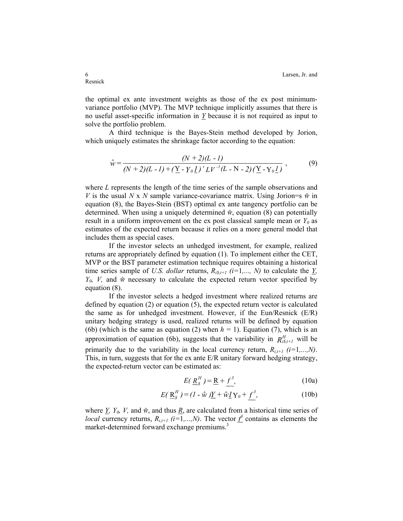the optimal ex ante investment weights as those of the ex post minimumvariance portfolio (MVP). The MVP technique implicitly assumes that there is no useful asset-specific information in  $Y$  because it is not required as input to solve the portfolio problem.

A third technique is the Bayes-Stein method developed by Jorion, which uniquely estimates the shrinkage factor according to the equation:

$$
\hat{w} = \frac{(N+2)(L-I)}{(N+2)(L-I) + (\underline{Y} - Y_0 \underline{I})' L V^{-1} (L - N - 2) (\underline{Y} - Y_0 \underline{I})},
$$
(9)

where *L* represents the length of the time series of the sample observations and *V* is the usual *N* x *N* sample variance-covariance matrix. Using Jorion=s  $\hat{w}$  in equation (8), the Bayes-Stein (BST) optimal ex ante tangency portfolio can be determined. When using a uniquely determined  $\hat{w}$ , equation (8) can potentially result in a uniform improvement on the ex post classical sample mean or  $Y_0$  as estimates of the expected return because it relies on a more general model that includes them as special cases.

If the investor selects an unhedged investment, for example, realized returns are appropriately defined by equation (1). To implement either the CET, MVP or the BST parameter estimation technique requires obtaining a historical time series sample of *U.S. dollar* returns,  $R_{i\delta,t+1}$  (*i*=1,..., *N*) to calculate the  $\underline{Y}$ ,  $Y_0$ , V, and  $\hat{w}$  necessary to calculate the expected return vector specified by equation (8).

If the investor selects a hedged investment where realized returns are defined by equation  $(2)$  or equation  $(5)$ , the expected return vector is calculated the same as for unhedged investment. However, if the Eun/Resnick (E/R) unitary hedging strategy is used, realized returns will be defined by equation (6b) (which is the same as equation (2) when  $h = 1$ ). Equation (7), which is an approximation of equation (6b), suggests that the variability in  $R_{i\delta,t+1}^H$  will be primarily due to the variability in the local currency return,  $R_{i,t+1}$  ( $i=1,...,N$ ). This, in turn, suggests that for the ex ante E/R unitary forward hedging strategy, the expected-return vector can be estimated as:

$$
E(\underline{R}_s^H) = \underline{R} + \underline{f}^3,\tag{10a}
$$

$$
E(\underline{\mathbf{R}}_s^H) = (I - \hat{\mathbf{w}})\underline{Y} + \hat{\mathbf{w}}\underline{I}\mathbf{Y}_0 + \underline{f}^3,\tag{10b}
$$

where  $\underline{Y}$ ,  $Y_0$ ,  $V$ , and  $\hat{w}$ , and thus  $\underline{R}$ , are calculated from a historical time series of *local* currency returns,  $R_{i,t+1}$  (*i*=1,...,*N*). The vector  $\hat{f}$  contains as elements the market-determined forward exchange premiums. 3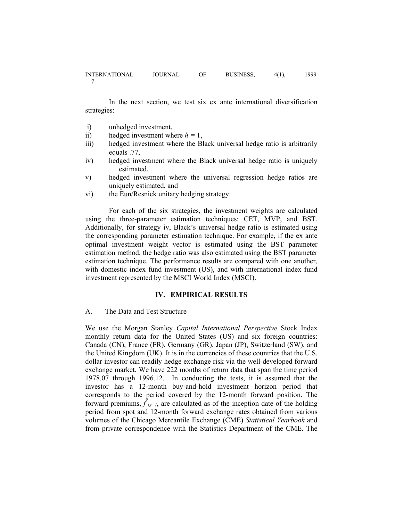In the next section, we test six ex ante international diversification strategies:

- i) unhedged investment,
- ii) hedged investment where  $h = 1$ ,
- iii) hedged investment where the Black universal hedge ratio is arbitrarily equals .77,
- iv) hedged investment where the Black universal hedge ratio is uniquely estimated,
- v) hedged investment where the universal regression hedge ratios are uniquely estimated, and
- vi) the Eun/Resnick unitary hedging strategy.

 For each of the six strategies, the investment weights are calculated using the three-parameter estimation techniques: CET, MVP, and BST. Additionally, for strategy iv, Black's universal hedge ratio is estimated using the corresponding parameter estimation technique. For example, if the ex ante optimal investment weight vector is estimated using the BST parameter estimation method, the hedge ratio was also estimated using the BST parameter estimation technique. The performance results are compared with one another, with domestic index fund investment (US), and with international index fund investment represented by the MSCI World Index (MSCI).

#### **IV. EMPIRICAL RESULTS**

#### A. The Data and Test Structure

We use the Morgan Stanley *Capital International Perspective* Stock Index monthly return data for the United States (US) and six foreign countries: Canada (CN), France (FR), Germany (GR), Japan (JP), Switzerland (SW), and the United Kingdom (UK). It is in the currencies of these countries that the U.S. dollar investor can readily hedge exchange risk via the well-developed forward exchange market. We have 222 months of return data that span the time period 1978.07 through 1996.12. In conducting the tests, it is assumed that the investor has a 12-month buy-and-hold investment horizon period that corresponds to the period covered by the 12-month forward position. The forward premiums,  $\hat{f}_{i,t+1}$ , are calculated as of the inception date of the holding period from spot and 12-month forward exchange rates obtained from various volumes of the Chicago Mercantile Exchange (CME) *Statistical Yearbook* and from private correspondence with the Statistics Department of the CME. The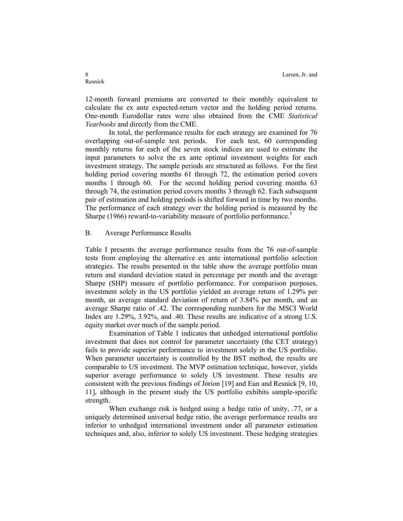12-month forward premiums are converted to their monthly equivalent to calculate the ex ante expected-return vector and the holding period returns. One-month Eurodollar rates were also obtained from the CME *Statistical Yearbooks* and directly from the CME.

In total, the performance results for each strategy are examined for 76 overlapping out-of-sample test periods. For each test, 60 corresponding monthly returns for each of the seven stock indices are used to estimate the input parameters to solve the ex ante optimal investment weights for each investment strategy. The sample periods are structured as follows. For the first holding period covering months 61 through 72, the estimation period covers months 1 through 60. For the second holding period covering months 63 through 74, the estimation period covers months 3 through 62. Each subsequent pair of estimation and holding periods is shifted forward in time by two months. The performance of each strategy over the holding period is measured by the Sharpe (1966) reward-to-variability measure of portfolio performance.<sup>5</sup>

#### B. Average Performance Results

Table I presents the average performance results from the 76 out-of-sample tests from employing the alternative ex ante international portfolio selection strategies. The results presented in the table show the average portfolio mean return and standard deviation stated in percentage per month and the average Sharpe (SHP) measure of portfolio performance. For comparison purposes, investment solely in the US portfolio yielded an average return of 1.29% per month, an average standard deviation of return of 3.84% per month, and an average Sharpe ratio of .42. The corresponding numbers for the MSCI World Index are 1.29%, 3.92%, and .40. These results are indicative of a strong U.S. equity market over much of the sample period.

Examination of Table 1 indicates that unhedged international portfolio investment that does not control for parameter uncertainty (the CET strategy) fails to provide superior performance to investment solely in the US portfolio. When parameter uncertainty is controlled by the BST method, the results are comparable to US investment. The MVP estimation technique, however, yields superior average performance to solely US investment. These results are consistent with the previous findings of Jorion [19] and Eun and Resnick [9, 10, 11], although in the present study the US portfolio exhibits sample-specific strength.

When exchange risk is hedged using a hedge ratio of unity, .77, or a uniquely determined universal hedge ratio, the average performance results are inferior to unhedged international investment under all parameter estimation techniques and, also, inferior to solely US investment. These hedging strategies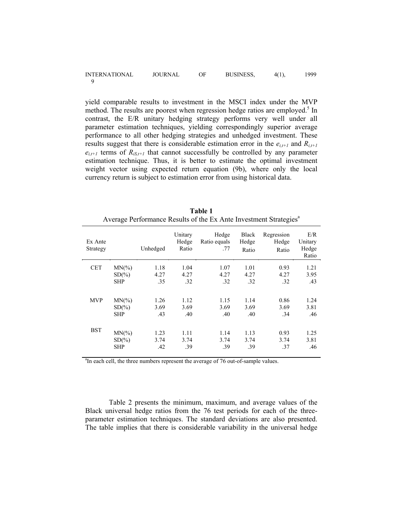| <b>INTERNATIONAL</b> | <b>JOURNAL</b> | OF | BUSINESS, | $4(1)$ , | 1999 |
|----------------------|----------------|----|-----------|----------|------|
|                      |                |    |           |          |      |

yield comparable results to investment in the MSCI index under the MVP method. The results are poorest when regression hedge ratios are employed.<sup>5</sup> In contrast, the E/R unitary hedging strategy performs very well under all parameter estimation techniques, yielding correspondingly superior average performance to all other hedging strategies and unhedged investment. These results suggest that there is considerable estimation error in the  $e_{i,t+1}$  and  $R_{i,t+1}$  $e_{i,t+1}$  terms of  $R_{iS,t+1}$  that cannot successfully be controlled by any parameter estimation technique. Thus, it is better to estimate the optimal investment weight vector using expected return equation (9b), where only the local currency return is subject to estimation error from using historical data.

| Ex Ante<br>Strategy |            | Unhedged | Unitary<br>Hedge<br>Ratio | Hedge<br>Ratio equals<br>.77 | <b>Black</b><br>Hedge<br>Ratio | Regression<br>Hedge<br>Ratio | E/R<br>Unitary<br>Hedge<br>Ratio |
|---------------------|------------|----------|---------------------------|------------------------------|--------------------------------|------------------------------|----------------------------------|
| <b>CET</b>          | $MN(\%)$   | 1.18     | 1.04                      | 1.07                         | 1.01                           | 0.93                         | 1.21                             |
|                     | $SD(\%)$   | 4.27     | 4.27                      | 4.27                         | 4.27                           | 4.27                         | 3.95                             |
|                     | <b>SHP</b> | .35      | .32                       | .32                          | .32                            | .32                          | .43                              |
|                     |            |          |                           |                              |                                |                              |                                  |
| <b>MVP</b>          | $MN(\%)$   | 1.26     | 1.12                      | 1.15                         | 1.14                           | 0.86                         | 1.24                             |
|                     | $SD(\%)$   | 3.69     | 3.69                      | 3.69                         | 3.69                           | 3.69                         | 3.81                             |
|                     | <b>SHP</b> | .43      | .40                       | .40                          | .40                            | .34                          | .46                              |
|                     |            |          |                           |                              |                                |                              |                                  |
| BST                 | $MN(\%)$   | 1.23     | 1.11                      | 1.14                         | 1.13                           | 0.93                         | 1.25                             |
|                     | $SD(\%)$   | 3.74     | 3.74                      | 3.74                         | 3.74                           | 3.74                         | 3.81                             |
|                     | <b>SHP</b> | .42      | .39                       | .39                          | .39                            | .37                          | .46                              |
|                     |            |          |                           |                              |                                |                              |                                  |

**Table 1**  Average Performance Results of the Ex Ante Investment Strategies<sup>a</sup>

<sup>a</sup>In each cell, the three numbers represent the average of 76 out-of-sample values.

Table 2 presents the minimum, maximum, and average values of the Black universal hedge ratios from the 76 test periods for each of the threeparameter estimation techniques. The standard deviations are also presented. The table implies that there is considerable variability in the universal hedge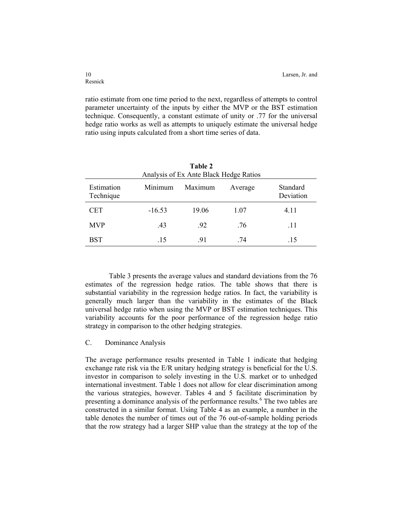ratio estimate from one time period to the next, regardless of attempts to control parameter uncertainty of the inputs by either the MVP or the BST estimation technique. Consequently, a constant estimate of unity or .77 for the universal hedge ratio works as well as attempts to uniquely estimate the universal hedge ratio using inputs calculated from a short time series of data.

| Table 2<br>Analysis of Ex Ante Black Hedge Ratios |          |         |         |                       |  |  |  |  |  |
|---------------------------------------------------|----------|---------|---------|-----------------------|--|--|--|--|--|
| Estimation<br>Technique                           | Minimum  | Maximum | Average | Standard<br>Deviation |  |  |  |  |  |
| CET                                               | $-16.53$ | 19.06   | 1.07    | 4.11                  |  |  |  |  |  |
| <b>MVP</b>                                        | .43      | .92     | .76     | .11                   |  |  |  |  |  |
| BST                                               | .15      | .91     | .74     | .15                   |  |  |  |  |  |

Table 3 presents the average values and standard deviations from the 76 estimates of the regression hedge ratios. The table shows that there is substantial variability in the regression hedge ratios. In fact, the variability is generally much larger than the variability in the estimates of the Black universal hedge ratio when using the MVP or BST estimation techniques. This variability accounts for the poor performance of the regression hedge ratio strategy in comparison to the other hedging strategies.

#### C. Dominance Analysis

The average performance results presented in Table 1 indicate that hedging exchange rate risk via the E/R unitary hedging strategy is beneficial for the U.S. investor in comparison to solely investing in the U.S. market or to unhedged international investment. Table 1 does not allow for clear discrimination among the various strategies, however. Tables 4 and 5 facilitate discrimination by presenting a dominance analysis of the performance results.<sup>6</sup> The two tables are constructed in a similar format. Using Table 4 as an example, a number in the table denotes the number of times out of the 76 out-of-sample holding periods that the row strategy had a larger SHP value than the strategy at the top of the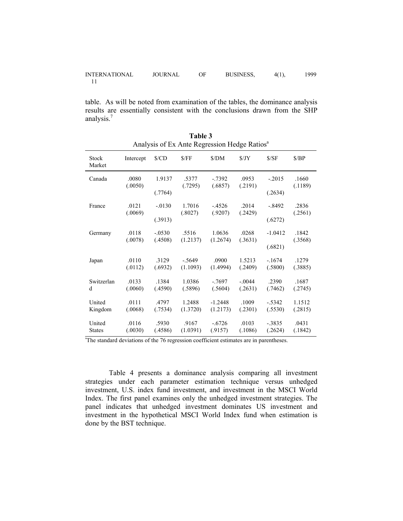| <b>INTERNATIONAL</b> | <b>JOURNAL</b> | <b>BUSINESS,</b> | $4(1)$ , | 1999. |
|----------------------|----------------|------------------|----------|-------|
|                      |                |                  |          |       |

table. As will be noted from examination of the tables, the dominance analysis results are essentially consistent with the conclusions drawn from the SHP analysis.<sup>7</sup>

|                        | Analysis of EX Affle Reglession Hedge Ratios |                     |                  |                    |                  |                      |                  |  |
|------------------------|----------------------------------------------|---------------------|------------------|--------------------|------------------|----------------------|------------------|--|
| <b>Stock</b><br>Market | Intercept                                    | $\sqrt{$CD}$        | S/FF             | \$/DM              | $\frac{S}{JY}$   | S/SF                 | S/BP             |  |
| Canada                 | .0080<br>(.0050)                             | 1.9137              | .5377<br>(.7295) | $-7392$<br>(.6857) | .0953<br>(.2191) | $-.2015$             | .1660<br>(.1189) |  |
| France                 | .0121                                        | (.7764)             | 1.7016           | $-4526$            | .2014            | (.2634)              | .2836            |  |
|                        | (.0069)                                      | $-.0130$            | (.8027)          | (.9207)            | (.2429)          | $-.8492$             | (.2561)          |  |
| Germany                | .0118                                        | (.3913)<br>$-.0530$ | .5516            | 1.0636             | .0268            | (.6272)<br>$-1.0412$ | .1842            |  |
|                        | (.0078)                                      | (.4508)             | (1.2137)         | (1.2674)           | (.3631)          | (.6821)              | (.3568)          |  |
| Japan                  | .0110                                        | .3129               | $-.5649$         | .0900              | 1.5213           | $-.1674$             | .1279            |  |
|                        | (.0112)                                      | (.6932)             | (1.1093)         | (1.4994)           | (.2409)          | (.5800)              | (.3885)          |  |
| Switzerlan             | .0133                                        | .1384               | 1.0386           | $-7697$            | $-.0044$         | .2390                | .1687            |  |
| d                      | (.0060)                                      | (.4590)             | (.5896)          | (.5604)            | (.2631)          | (.7462)              | (.2745)          |  |
| United                 | .0111                                        | .4797               | 1.2488           | $-1.2448$          | .1009            | $-.5342$             | 1.1512           |  |
| Kingdom                | (.0068)                                      | (.7534)             | (1.3720)         | (1.2173)           | (.2301)          | (.5530)              | (.2815)          |  |
| United                 | .0116                                        | .5930               | .9167            | $-.6726$           | .0103            | $-.3835$             | .0431            |  |
| <b>States</b>          | (.0030)                                      | (.4586)             | (1.0391)         | (.9157)            | (.1086)          | (.2624)              | (.1842)          |  |

**Table 3**  Analysis of Ex Ante Regression Hedge Ratiosa

<sup>a</sup>The standard deviations of the 76 regression coefficient estimates are in parentheses.

Table 4 presents a dominance analysis comparing all investment strategies under each parameter estimation technique versus unhedged investment, U.S. index fund investment, and investment in the MSCI World Index. The first panel examines only the unhedged investment strategies. The panel indicates that unhedged investment dominates US investment and investment in the hypothetical MSCI World Index fund when estimation is done by the BST technique.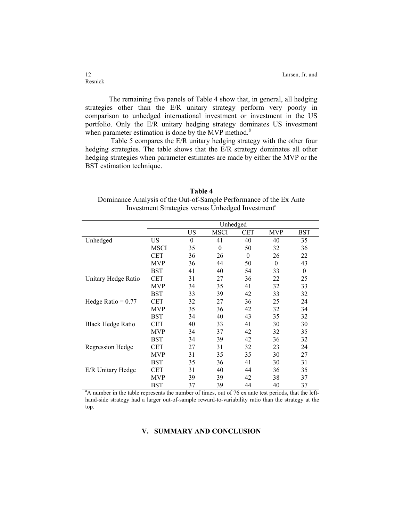The remaining five panels of Table 4 show that, in general, all hedging strategies other than the E/R unitary strategy perform very poorly in comparison to unhedged international investment or investment in the US portfolio. Only the E/R unitary hedging strategy dominates US investment when parameter estimation is done by the MVP method. $8$ 

 Table 5 compares the E/R unitary hedging strategy with the other four hedging strategies. The table shows that the E/R strategy dominates all other hedging strategies when parameter estimates are made by either the MVP or the BST estimation technique.

| Table 4                                                            |
|--------------------------------------------------------------------|
| Dominance Analysis of the Out-of-Sample Performance of the Ex Ante |
| Investment Strategies versus Unhedged Investment <sup>a</sup>      |

|                          |             | Unhedged |             |          |                  |                  |
|--------------------------|-------------|----------|-------------|----------|------------------|------------------|
|                          |             | US       | <b>MSCI</b> | CET      | <b>MVP</b>       | <b>BST</b>       |
| Unhedged                 | US          | $\theta$ | 41          | 40       | 40               | 35               |
|                          | <b>MSCI</b> | 35       | $\theta$    | 50       | 32               | 36               |
|                          | <b>CET</b>  | 36       | 26          | $\theta$ | 26               | 22               |
|                          | <b>MVP</b>  | 36       | 44          | 50       | $\boldsymbol{0}$ | 43               |
|                          | <b>BST</b>  | 41       | 40          | 54       | 33               | $\boldsymbol{0}$ |
| Unitary Hedge Ratio      | <b>CET</b>  | 31       | 27          | 36       | 22               | 25               |
|                          | <b>MVP</b>  | 34       | 35          | 41       | 32               | 33               |
|                          | <b>BST</b>  | 33       | 39          | 42       | 33               | 32               |
| Hedge Ratio = $0.77$     | <b>CET</b>  | 32       | 27          | 36       | 25               | 24               |
|                          | <b>MVP</b>  | 35       | 36          | 42       | 32               | 34               |
|                          | <b>BST</b>  | 34       | 40          | 43       | 35               | 32               |
| <b>Black Hedge Ratio</b> | <b>CET</b>  | 40       | 33          | 41       | 30               | 30               |
|                          | <b>MVP</b>  | 34       | 37          | 42       | 32               | 35               |
|                          | <b>BST</b>  | 34       | 39          | 42       | 36               | 32               |
| <b>Regression Hedge</b>  | <b>CET</b>  | 27       | 31          | 32       | 23               | 24               |
|                          | <b>MVP</b>  | 31       | 35          | 35       | 30               | 27               |
|                          | <b>BST</b>  | 35       | 36          | 41       | 30               | 31               |
| E/R Unitary Hedge        | <b>CET</b>  | 31       | 40          | 44       | 36               | 35               |
|                          | <b>MVP</b>  | 39       | 39          | 42       | 38               | 37               |
|                          | <b>BST</b>  | 37       | 39          | 44       | 40               | 37               |

BST 37 39 44 40 37<br><sup>a</sup>A number in the table represents the number of times, out of 76 ex ante test periods, that the lefthand-side strategy had a larger out-of-sample reward-to-variability ratio than the strategy at the top.

#### **V. SUMMARY AND CONCLUSION**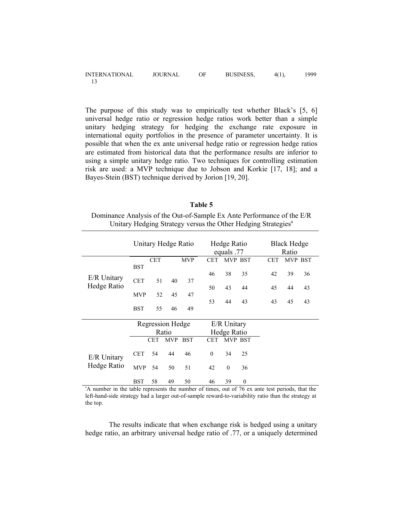| <b>INTERNATIONAL</b> | <b>JOURNAL</b> | ОF | <b>BUSINESS,</b> | $4(1)$ , | 1999. |
|----------------------|----------------|----|------------------|----------|-------|
|                      |                |    |                  |          |       |

The purpose of this study was to empirically test whether Black's [5, 6] universal hedge ratio or regression hedge ratios work better than a simple unitary hedging strategy for hedging the exchange rate exposure in international equity portfolios in the presence of parameter uncertainty. It is possible that when the ex ante universal hedge ratio or regression hedge ratios are estimated from historical data that the performance results are inferior to using a simple unitary hedge ratio. Two techniques for controlling estimation risk are used: a MVP technique due to Jobson and Korkie [17, 18]; and a Bayes-Stein (BST) technique derived by Jorion [19, 20].

| Table 5                                                                   |
|---------------------------------------------------------------------------|
| Dominance Analysis of the Out-of-Sample Ex Ante Performance of the E/R    |
| Unitary Hedging Strategy versus the Other Hedging Strategies <sup>a</sup> |

|                                                                                                 |            |            | Unitary Hedge Ratio |            |            | Hedge Ratio<br>equals .77 |          |            | <b>Black Hedge</b><br>Ratio |         |
|-------------------------------------------------------------------------------------------------|------------|------------|---------------------|------------|------------|---------------------------|----------|------------|-----------------------------|---------|
|                                                                                                 |            | <b>CET</b> |                     | <b>MVP</b> | <b>CET</b> |                           | MVP BST  | <b>CET</b> |                             | MVP BST |
|                                                                                                 | <b>BST</b> |            |                     |            | 46         | 38                        | 35       | 42         | 39                          | 36      |
| E/R Unitary                                                                                     | <b>CET</b> | 51         | 40                  | 37         |            |                           |          |            |                             |         |
| Hedge Ratio                                                                                     |            |            |                     |            | 50         | 43                        | 44       | 45         | 44                          | 43      |
|                                                                                                 | <b>MVP</b> | 52         | 45                  | 47         |            |                           |          |            |                             |         |
|                                                                                                 | <b>BST</b> | 55         | 46                  | 49         | 53         | 44                        | 43       | 43         | 45                          | 43      |
|                                                                                                 |            |            |                     |            |            |                           |          |            |                             |         |
|                                                                                                 |            |            | Regression Hedge    |            |            | E/R Unitary               |          |            |                             |         |
|                                                                                                 |            |            | Ratio               |            |            | Hedge Ratio               |          |            |                             |         |
|                                                                                                 |            | <b>CET</b> | <b>MVP</b>          | <b>BST</b> | <b>CET</b> |                           | MVP BST  |            |                             |         |
| E/R Unitary                                                                                     | <b>CET</b> | 54         | 44                  | 46         | $\Omega$   | 34                        | 25       |            |                             |         |
| Hedge Ratio                                                                                     | <b>MVP</b> | 54         | 50                  | 51         | 42         | $\theta$                  | 36       |            |                             |         |
|                                                                                                 | <b>BST</b> | 58         | 49                  | 50         | 46         | 39                        | $\theta$ |            |                             |         |
| "A number in the table represents the number of times, out of 76 ex ante test periods, that the |            |            |                     |            |            |                           |          |            |                             |         |

left-hand-side strategy had a larger out-of-sample reward-to-variability ratio than the strategy at the top.

The results indicate that when exchange risk is hedged using a unitary hedge ratio, an arbitrary universal hedge ratio of .77, or a uniquely determined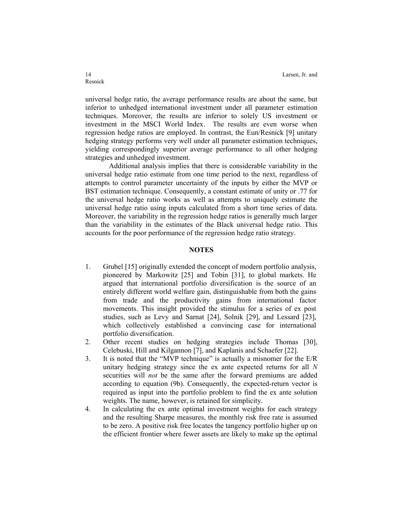universal hedge ratio, the average performance results are about the same, but inferior to unhedged international investment under all parameter estimation techniques. Moreover, the results are inferior to solely US investment or investment in the MSCI World Index. The results are even worse when regression hedge ratios are employed. In contrast, the Eun/Resnick [9] unitary hedging strategy performs very well under all parameter estimation techniques, yielding correspondingly superior average performance to all other hedging strategies and unhedged investment.

Additional analysis implies that there is considerable variability in the universal hedge ratio estimate from one time period to the next, regardless of attempts to control parameter uncertainty of the inputs by either the MVP or BST estimation technique. Consequently, a constant estimate of unity or .77 for the universal hedge ratio works as well as attempts to uniquely estimate the universal hedge ratio using inputs calculated from a short time series of data. Moreover, the variability in the regression hedge ratios is generally much larger than the variability in the estimates of the Black universal hedge ratio. This accounts for the poor performance of the regression hedge ratio strategy.

#### **NOTES**

- 1. Grubel [15] originally extended the concept of modern portfolio analysis, pioneered by Markowitz [25] and Tobin [31], to global markets. He argued that international portfolio diversification is the source of an entirely different world welfare gain, distinguishable from both the gains from trade and the productivity gains from international factor movements. This insight provided the stimulus for a series of ex post studies, such as Levy and Sarnat [24], Solnik [29], and Lessard [23], which collectively established a convincing case for international portfolio diversification.
- 2. Other recent studies on hedging strategies include Thomas [30], Celebuski, Hill and Kilgannon [7], and Kaplanis and Schaefer [22].
- 3. It is noted that the "MVP technique" is actually a misnomer for the E/R unitary hedging strategy since the ex ante expected returns for all *N* securities will *not* be the same after the forward premiums are added according to equation (9b). Consequently, the expected-return vector is required as input into the portfolio problem to find the ex ante solution weights. The name, however, is retained for simplicity.
- 4. In calculating the ex ante optimal investment weights for each strategy and the resulting Sharpe measures, the monthly risk free rate is assumed to be zero. A positive risk free locates the tangency portfolio higher up on the efficient frontier where fewer assets are likely to make up the optimal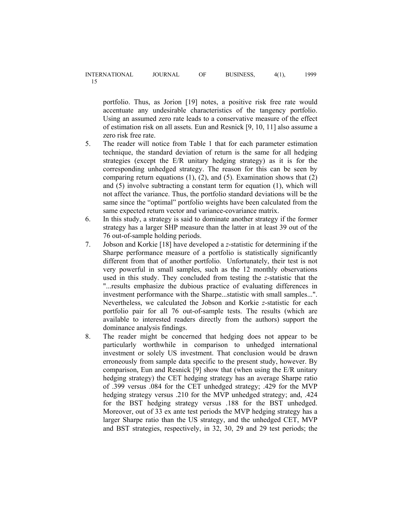portfolio. Thus, as Jorion [19] notes, a positive risk free rate would accentuate any undesirable characteristics of the tangency portfolio. Using an assumed zero rate leads to a conservative measure of the effect of estimation risk on all assets. Eun and Resnick [9, 10, 11] also assume a zero risk free rate.

- 5. The reader will notice from Table 1 that for each parameter estimation technique, the standard deviation of return is the same for all hedging strategies (except the E/R unitary hedging strategy) as it is for the corresponding unhedged strategy. The reason for this can be seen by comparing return equations  $(1)$ ,  $(2)$ , and  $(5)$ . Examination shows that  $(2)$ and (5) involve subtracting a constant term for equation (1), which will not affect the variance. Thus, the portfolio standard deviations will be the same since the "optimal" portfolio weights have been calculated from the same expected return vector and variance-covariance matrix.
- 6. In this study, a strategy is said to dominate another strategy if the former strategy has a larger SHP measure than the latter in at least 39 out of the 76 out-of-sample holding periods.
- 7. Jobson and Korkie [18] have developed a *z*-statistic for determining if the Sharpe performance measure of a portfolio is statistically significantly different from that of another portfolio. Unfortunately, their test is not very powerful in small samples, such as the 12 monthly observations used in this study. They concluded from testing the *z*-statistic that the "...results emphasize the dubious practice of evaluating differences in investment performance with the Sharpe...statistic with small samples...". Nevertheless, we calculated the Jobson and Korkie *z*-statistic for each portfolio pair for all 76 out-of-sample tests. The results (which are available to interested readers directly from the authors) support the dominance analysis findings.
- 8. The reader might be concerned that hedging does not appear to be particularly worthwhile in comparison to unhedged international investment or solely US investment. That conclusion would be drawn erroneously from sample data specific to the present study, however. By comparison, Eun and Resnick [9] show that (when using the E/R unitary hedging strategy) the CET hedging strategy has an average Sharpe ratio of .399 versus .084 for the CET unhedged strategy; .429 for the MVP hedging strategy versus .210 for the MVP unhedged strategy; and, .424 for the BST hedging strategy versus .188 for the BST unhedged. Moreover, out of 33 ex ante test periods the MVP hedging strategy has a larger Sharpe ratio than the US strategy, and the unhedged CET, MVP and BST strategies, respectively, in 32, 30, 29 and 29 test periods; the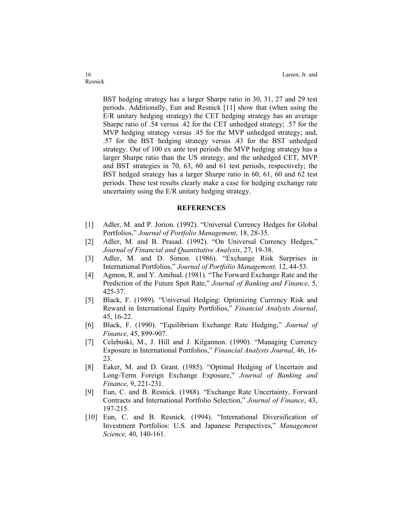BST hedging strategy has a larger Sharpe ratio in 30, 31, 27 and 29 test periods. Additionally, Eun and Resnick [11] show that (when using the E/R unitary hedging strategy) the CET hedging strategy has an average Sharpe ratio of .54 versus .42 for the CET unhedged strategy; .57 for the MVP hedging strategy versus .45 for the MVP unhedged strategy; and, .57 for the BST hedging strategy versus .43 for the BST unhedged strategy. Out of 100 ex ante test periods the MVP hedging strategy has a larger Sharpe ratio than the US strategy, and the unhedged CET, MVP and BST strategies in 70, 63, 60 and 61 test periods, respectively; the BST hedged strategy has a larger Sharpe ratio in 60, 61, 60 and 62 test periods. These test results clearly make a case for hedging exchange rate uncertainty using the E/R unitary hedging strategy.

#### **REFERENCES**

- [1] Adler, M. and P. Jorion. (1992). "Universal Currency Hedges for Global Portfolios," *Journal of Portfolio Management*, 18, 28-35.
- [2] Adler, M. and B. Prasad. (1992). "On Universal Currency Hedges," *Journal of Financial and Quantitative Analysis*, 27, 19-38.
- [3] Adler, M. and D. Simon. (1986). "Exchange Risk Surprises in International Portfolios," *Journal of Portfolio Management,* 12, 44-53.
- [4] Agmon, R. and Y. Amihud. (1981). "The Forward Exchange Rate and the Prediction of the Future Spot Rate," *Journal of Banking and Finance,* 5, 425-37.
- [5] Black, F. (1989). "Universal Hedging: Optimizing Currency Risk and Reward in International Equity Portfolios," *Financial Analysts Journal*, 45, 16-22.
- [6] Black, F. (1990). "Equilibrium Exchange Rate Hedging," *Journal of Finance,* 45, 899-907.
- [7] Celebuski, M., J. Hill and J. Kilgannon. (1990). "Managing Currency Exposure in International Portfolios," *Financial Analysts Journal*, 46, 16- 23.
- [8] Eaker, M. and D. Grant. (1985). "Optimal Hedging of Uncertain and Long-Term Foreign Exchange Exposure," *Journal of Banking and Finance,* 9, 221-231.
- [9] Eun, C. and B. Resnick. (1988). "Exchange Rate Uncertainty, Forward Contracts and International Portfolio Selection," *Journal of Finance*, 43, 197-215.
- [10] Eun, C. and B. Resnick. (1994). "International Diversification of Investment Portfolios: U.S. and Japanese Perspectives," *Management Science,* 40, 140-161.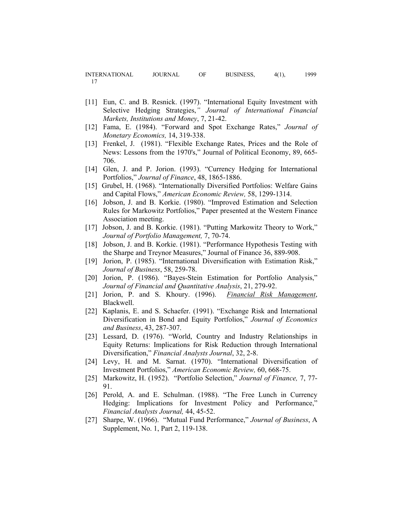- [11] Eun, C. and B. Resnick. (1997). "International Equity Investment with Selective Hedging Strategies,*" Journal of International Financial Markets, Institutions and Money*, 7, 21-42.
- [12] Fama, E. (1984). "Forward and Spot Exchange Rates," *Journal of Monetary Economics,* 14, 319-338.
- [13] Frenkel, J. (1981). "Flexible Exchange Rates, Prices and the Role of News: Lessons from the 1970's," Journal of Political Economy, 89, 665- 706.
- [14] Glen, J. and P. Jorion. (1993). "Currency Hedging for International Portfolios," *Journal of Finance*, 48, 1865-1886.
- [15] Grubel, H. (1968). "Internationally Diversified Portfolios: Welfare Gains and Capital Flows," *American Economic Review,* 58, 1299-1314.
- [16] Jobson, J. and B. Korkie. (1980). "Improved Estimation and Selection Rules for Markowitz Portfolios," Paper presented at the Western Finance Association meeting.
- [17] Jobson, J. and B. Korkie. (1981). "Putting Markowitz Theory to Work," *Journal of Portfolio Management,* 7, 70-74.
- [18] Jobson, J. and B. Korkie. (1981). "Performance Hypothesis Testing with the Sharpe and Treynor Measures," Journal of Finance 36, 889-908.
- [19] Jorion, P. (1985). "International Diversification with Estimation Risk," *Journal of Business*, 58, 259-78.
- [20] Jorion, P. (1986). "Bayes-Stein Estimation for Portfolio Analysis," *Journal of Financial and Quantitative Analysis*, 21, 279-92.
- [21] Jorion, P. and S. Khoury. (1996). *Financial Risk Management*, Blackwell.
- [22] Kaplanis, E. and S. Schaefer. (1991). "Exchange Risk and International Diversification in Bond and Equity Portfolios," *Journal of Economics and Business*, 43, 287-307.
- [23] Lessard, D. (1976). "World, Country and Industry Relationships in Equity Returns: Implications for Risk Reduction through International Diversification," *Financial Analysts Journal*, 32, 2-8.
- [24] Levy, H. and M. Sarnat. (1970). "International Diversification of Investment Portfolios," *American Economic Review,* 60, 668-75.
- [25] Markowitz, H. (1952). "Portfolio Selection," *Journal of Finance,* 7, 77- 91.
- [26] Perold, A. and E. Schulman. (1988). "The Free Lunch in Currency Hedging: Implications for Investment Policy and Performance," *Financial Analysts Journal,* 44, 45-52.
- [27] Sharpe, W. (1966). "Mutual Fund Performance," *Journal of Business*, A Supplement, No. 1, Part 2, 119-138.